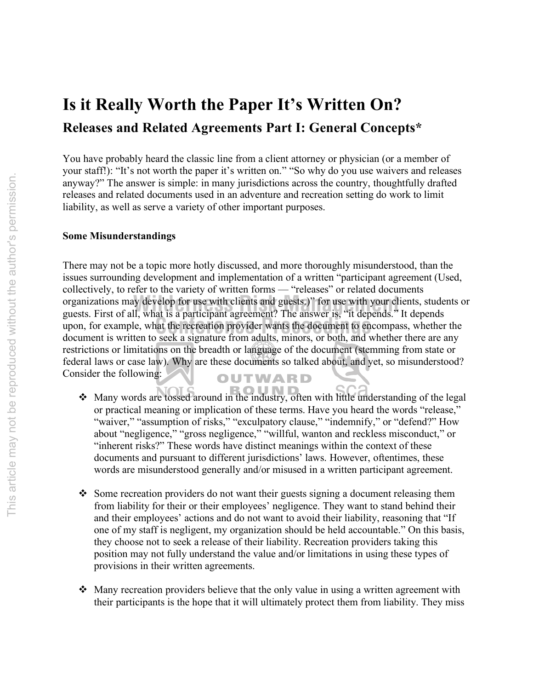# **Is it Really Worth the Paper It's Written On? Releases and Related Agreements Part I: General Concepts\***

You have probably heard the classic line from a client attorney or physician (or a member of your staff!): "It's not worth the paper it's written on." "So why do you use waivers and releases anyway?" The answer is simple: in many jurisdictions across the country, thoughtfully drafted releases and related documents used in an adventure and recreation setting do work to limit liability, as well as serve a variety of other important purposes.

## **Some Misunderstandings**

There may not be a topic more hotly discussed, and more thoroughly misunderstood, than the issues surrounding development and implementation of a written "participant agreement (Used, collectively, to refer to the variety of written forms — "releases" or related documents organizations may develop for use with clients and guests.)" for use with your clients, students or<br>guests First of all what is a participant agreement? The answer is "it depends "It depends guests. First of all, what is a participant agreement? The answer is, "it depends." It depends upon, for example, what the recreation provider wants the document to encompass, whether the document is written to sook a signature from adults minors, or both and whether there are any document is written to seek a signature from adults, minors, or both, and whether there are any restrictions or limitations on the breadth or language of the document (stemming from state or federal laws or case law). Why are these documents so talked about, and yet, so misunderstood? Consider the following: OUTWARD

- Many words are tossed around in the industry, often with little understanding of the legal or practical meaning or implication of these terms. Have you heard the words "release," "waiver," "assumption of risks," "exculpatory clause," "indemnify," or "defend?" How about "negligence," "gross negligence," "willful, wanton and reckless misconduct," or "inherent risks?" These words have distinct meanings within the context of these documents and pursuant to different jurisdictions' laws. However, oftentimes, these words are misunderstood generally and/or misused in a written participant agreement.
- $\cdot$  Some recreation providers do not want their guests signing a document releasing them from liability for their or their employees' negligence. They want to stand behind their and their employees' actions and do not want to avoid their liability, reasoning that "If one of my staff is negligent, my organization should be held accountable." On this basis, they choose not to seek a release of their liability. Recreation providers taking this position may not fully understand the value and/or limitations in using these types of provisions in their written agreements.
- $\triangleleft$  Many recreation providers believe that the only value in using a written agreement with their participants is the hope that it will ultimately protect them from liability. They miss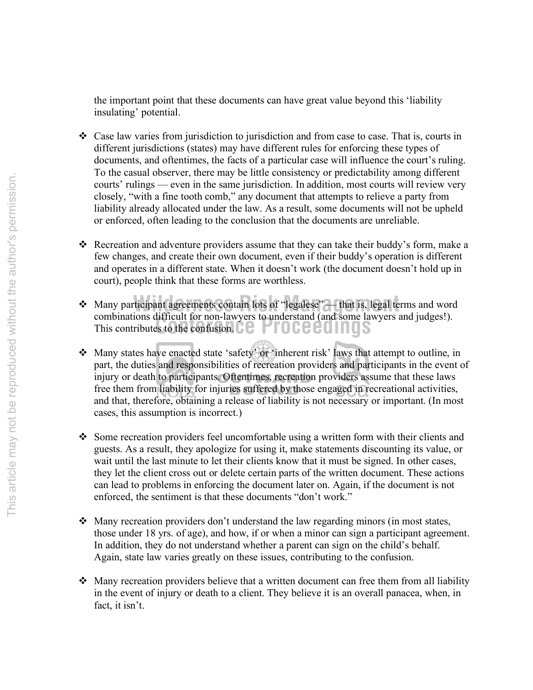the important point that these documents can have great value beyond this 'liability insulating' potential.

- Case law varies from jurisdiction to jurisdiction and from case to case. That is, courts in different jurisdictions (states) may have different rules for enforcing these types of documents, and oftentimes, the facts of a particular case will influence the court's ruling. To the casual observer, there may be little consistency or predictability among different courts' rulings — even in the same jurisdiction. In addition, most courts will review very closely, "with a fine tooth comb," any document that attempts to relieve a party from liability already allocated under the law. As a result, some documents will not be upheld or enforced, often leading to the conclusion that the documents are unreliable.
- Recreation and adventure providers assume that they can take their buddy's form, make a few changes, and create their own document, even if their buddy's operation is different and operates in a different state. When it doesn't work (the document doesn't hold up in court), people think that these forms are worthless.
- **Compinations difficult for hon-lawyers to understand (and some large Process) Wilders All any participant agreements contain lots of "legalese"** — that is, legal terms and word combinations difficult for non-lawyers to understand (and some lawyers and judges!).
- Many states have enacted state 'safety' or 'inherent risk' laws that attempt to outline, in part, the duties and responsibilities of recreation providers and participants in the event of injury or death to participants. Oftentimes, recreation providers assume that these laws free them from liability for injuries suffered by those engaged in recreational activities, and that, therefore, obtaining a release of liability is not necessary or important. (In most cases, this assumption is incorrect.)
- $\bullet$  Some recreation providers feel uncomfortable using a written form with their clients and guests. As a result, they apologize for using it, make statements discounting its value, or wait until the last minute to let their clients know that it must be signed. In other cases, they let the client cross out or delete certain parts of the written document. These actions can lead to problems in enforcing the document later on. Again, if the document is not enforced, the sentiment is that these documents "don't work."
- $\triangle$  Many recreation providers don't understand the law regarding minors (in most states, those under 18 yrs. of age), and how, if or when a minor can sign a participant agreement. In addition, they do not understand whether a parent can sign on the child's behalf. Again, state law varies greatly on these issues, contributing to the confusion.
- Many recreation providers believe that a written document can free them from all liability in the event of injury or death to a client. They believe it is an overall panacea, when, in fact, it isn't.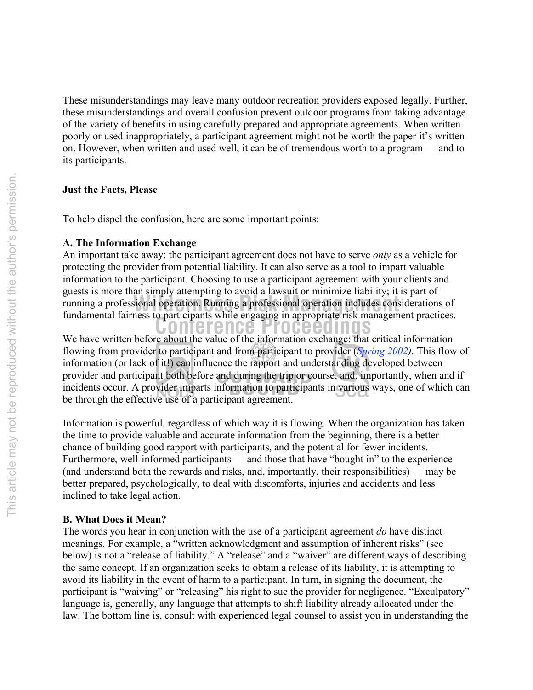These misunderstandings may leave many outdoor recreation providers exposed legally. Further, these misunderstandings and overall confusion prevent outdoor programs from taking advantage of the variety of benefits in using carefully prepared and appropriate agreements. When written poorly or used inappropriately, a participant agreement might not be worth the paper it's written on. However, when written and used well, it can be of tremendous worth to a program — and to its participants.

## **Just the Facts, Please**

To help dispel the confusion, here are some important points:

## **A. The Information Exchange**

**Wilders Risk Management Consider the Constitution** Consideration includes considerations of fundamental fairness to participants while engaging in appropriate risk management practices. An important take away: the participant agreement does not have to serve *only* as a vehicle for protecting the provider from potential liability. It can also serve as a tool to impart valuable information to the participant. Choosing to use a participant agreement with your clients and guests is more than simply attempting to avoid a lawsuit or minimize liability; it is part of fundamental fairness to participants while engaging in appropriate risk management practices.

**Conference Proceedings** Will be the information exchange: that critical information<br>We have written before about the value of the information exchange: that critical information flowing from provider to participant and from participant to provider (*Spring 2002)*. This flow of information (or lack of it!) can influence the rapport and understanding developed between provider and participant both before and during the trip or course, and, importantly, when and if incidents occur. A provider imparts information to participants in various ways, one of which can be through the effective use of a participant agreement.

Information is powerful, regardless of which way it is flowing. When the organization has taken the time to provide valuable and accurate information from the beginning, there is a better chance of building good rapport with participants, and the potential for fewer incidents. Furthermore, well-informed participants — and those that have "bought in" to the experience (and understand both the rewards and risks, and, importantly, their responsibilities) — may be better prepared, psychologically, to deal with discomforts, injuries and accidents and less inclined to take legal action.

## **B. What Does it Mean?**

The words you hear in conjunction with the use of a participant agreement *do* have distinct meanings. For example, a "written acknowledgment and assumption of inherent risks" (see below) is not a "release of liability." A "release" and a "waiver" are different ways of describing the same concept. If an organization seeks to obtain a release of its liability, it is attempting to avoid its liability in the event of harm to a participant. In turn, in signing the document, the participant is "waiving" or "releasing" his right to sue the provider for negligence. "Exculpatory" language is, generally, any language that attempts to shift liability already allocated under the law. The bottom line is, consult with experienced legal counsel to assist you in understanding the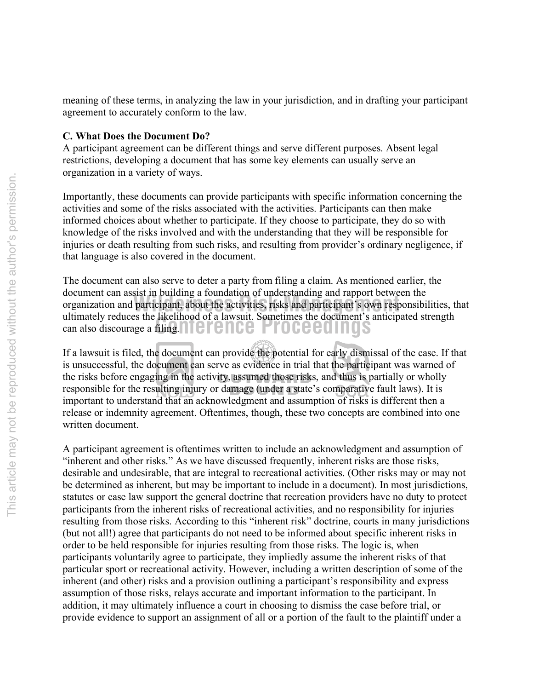meaning of these terms, in analyzing the law in your jurisdiction, and in drafting your participant agreement to accurately conform to the law.

#### **C. What Does the Document Do?**

A participant agreement can be different things and serve different purposes. Absent legal restrictions, developing a document that has some key elements can usually serve an organization in a variety of ways.

Importantly, these documents can provide participants with specific information concerning the activities and some of the risks associated with the activities. Participants can then make informed choices about whether to participate. If they choose to participate, they do so with knowledge of the risks involved and with the understanding that they will be responsible for injuries or death resulting from such risks, and resulting from provider's ordinary negligence, if that language is also covered in the document.

**Conference Proceedings** can also discourage a filing. **Wilderness Risk Management** Can assist in burnting a roundation or understanding and rapport between the<br>organization and participant, about the activities, risks and participant's own responsibilities, that The document can also serve to deter a party from filing a claim. As mentioned earlier, the document can assist in building a foundation of understanding and rapport between the ultimately reduces the likelihood of a lawsuit. Sometimes the document's anticipated strength

If a lawsuit is filed, the document can provide the potential for early dismissal of the case. If that is unsuccessful, the document can serve as evidence in trial that the participant was warned of the risks before engaging in the activity, assumed those risks, and thus is partially or wholly responsible for the resulting injury or damage (under a state's comparative fault laws). It is important to understand that an acknowledgment and assumption of risks is different then a release or indemnity agreement. Oftentimes, though, these two concepts are combined into one written document.

A participant agreement is oftentimes written to include an acknowledgment and assumption of "inherent and other risks." As we have discussed frequently, inherent risks are those risks, desirable and undesirable, that are integral to recreational activities. (Other risks may or may not be determined as inherent, but may be important to include in a document). In most jurisdictions, statutes or case law support the general doctrine that recreation providers have no duty to protect participants from the inherent risks of recreational activities, and no responsibility for injuries resulting from those risks. According to this "inherent risk" doctrine, courts in many jurisdictions (but not all!) agree that participants do not need to be informed about specific inherent risks in order to be held responsible for injuries resulting from those risks. The logic is, when participants voluntarily agree to participate, they impliedly assume the inherent risks of that particular sport or recreational activity. However, including a written description of some of the inherent (and other) risks and a provision outlining a participant's responsibility and express assumption of those risks, relays accurate and important information to the participant. In addition, it may ultimately influence a court in choosing to dismiss the case before trial, or provide evidence to support an assignment of all or a portion of the fault to the plaintiff under a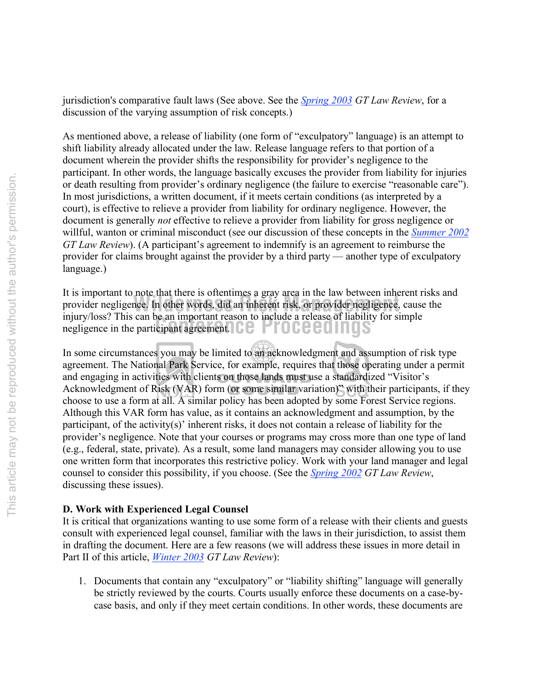jurisdiction's comparative fault laws (See above. See the *Spring 2003 GT Law Review*, for a discussion of the varying assumption of risk concepts.)

As mentioned above, a release of liability (one form of "exculpatory" language) is an attempt to shift liability already allocated under the law. Release language refers to that portion of a document wherein the provider shifts the responsibility for provider's negligence to the participant. In other words, the language basically excuses the provider from liability for injuries or death resulting from provider's ordinary negligence (the failure to exercise "reasonable care"). In most jurisdictions, a written document, if it meets certain conditions (as interpreted by a court), is effective to relieve a provider from liability for ordinary negligence. However, the document is generally *not* effective to relieve a provider from liability for gross negligence or willful, wanton or criminal misconduct (see our discussion of these concepts in the *Summer 2002 GT Law Review*). (A participant's agreement to indemnify is an agreement to reimburse the provider for claims brought against the provider by a third party — another type of exculpatory language.)

mury/ioss/ I his can be an important reason to include a release of hability<br>negligence in the participant agreement. provider negligence. In other words, did an inherent risk, or provider negligence, cause the injury/legal This see he an innegator to include a relaxe of liability for simple It is important to note that there is oftentimes a gray area in the law between inherent risks and injury/loss? This can be an important reason to include a release of liability for simple

In some circumstances you may be limited to an acknowledgment and assumption of risk type agreement. The National Park Service, for example, requires that those operating under a permit and engaging in activities with clients on those lands must use a standardized "Visitor's Acknowledgment of Risk (VAR) form (or some similar variation)" with their participants, if they choose to use a form at all. A similar policy has been adopted by some Forest Service regions. Although this VAR form has value, as it contains an acknowledgment and assumption, by the participant, of the activity(s)' inherent risks, it does not contain a release of liability for the provider's negligence. Note that your courses or programs may cross more than one type of land (e.g., federal, state, private). As a result, some land managers may consider allowing you to use one written form that incorporates this restrictive policy. Work with your land manager and legal counsel to consider this possibility, if you choose. (See the *Spring 2002 GT Law Review*, discussing these issues).

# **D. Work with Experienced Legal Counsel**

It is critical that organizations wanting to use some form of a release with their clients and guests consult with experienced legal counsel, familiar with the laws in their jurisdiction, to assist them in drafting the document. Here are a few reasons (we will address these issues in more detail in Part II of this article, *Winter 2003 GT Law Review*):

1. Documents that contain any "exculpatory" or "liability shifting" language will generally be strictly reviewed by the courts. Courts usually enforce these documents on a case-bycase basis, and only if they meet certain conditions. In other words, these documents are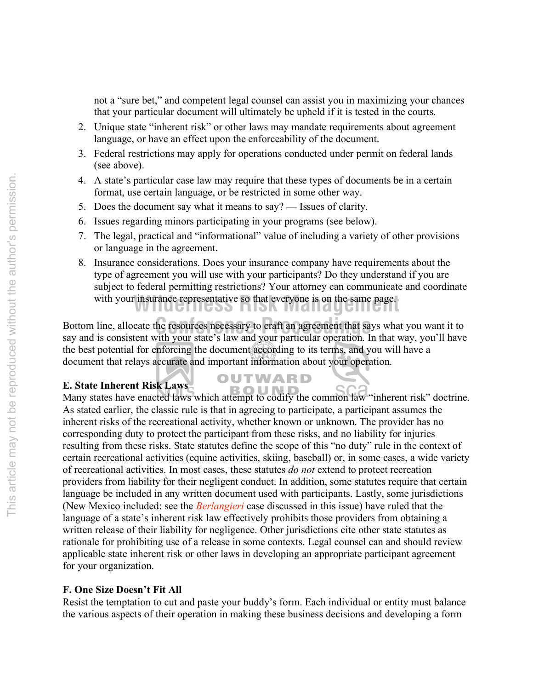not a "sure bet," and competent legal counsel can assist you in maximizing your chances that your particular document will ultimately be upheld if it is tested in the courts.

- 2. Unique state "inherent risk" or other laws may mandate requirements about agreement language, or have an effect upon the enforceability of the document.
- 3. Federal restrictions may apply for operations conducted under permit on federal lands (see above).
- 4. A state's particular case law may require that these types of documents be in a certain format, use certain language, or be restricted in some other way.
- 5. Does the document say what it means to say? Issues of clarity.
- 6. Issues regarding minors participating in your programs (see below).
- 7. The legal, practical and "informational" value of including a variety of other provisions or language in the agreement.
- with your insurance representative so that everyone is on the same page. 8. Insurance considerations. Does your insurance company have requirements about the type of agreement you will use with your participants? Do they understand if you are subject to federal permitting restrictions? Your attorney can communicate and coordinate

**Conference Interior Conference Processary is craft an agreement that says what you want it to** say and is consistent with your state<sup>2</sup>s law and your perticular operation. In that way, you<sup>2</sup>ll have say and is consistent with your state's law and your particular operation. In that way, you'll have the best potential for enforcing the document according to its terms, and you will have a document that relays accurate and important information about your operation.

OUTWARD

# **E. State Inherent Risk Laws**

**E. State Inherent Risk Laws**<br>Many states have enacted laws which attempt to codify the common law "inherent risk" doctrine. As stated earlier, the classic rule is that in agreeing to participate, a participant assumes the inherent risks of the recreational activity, whether known or unknown. The provider has no corresponding duty to protect the participant from these risks, and no liability for injuries resulting from these risks. State statutes define the scope of this "no duty" rule in the context of certain recreational activities (equine activities, skiing, baseball) or, in some cases, a wide variety of recreational activities. In most cases, these statutes *do not* extend to protect recreation providers from liability for their negligent conduct. In addition, some statutes require that certain language be included in any written document used with participants. Lastly, some jurisdictions (New Mexico included: see the *Berlangieri* case discussed in this issue) have ruled that the language of a state's inherent risk law effectively prohibits those providers from obtaining a written release of their liability for negligence. Other jurisdictions cite other state statutes as rationale for prohibiting use of a release in some contexts. Legal counsel can and should review applicable state inherent risk or other laws in developing an appropriate participant agreement for your organization.

## **F. One Size Doesn't Fit All**

Resist the temptation to cut and paste your buddy's form. Each individual or entity must balance the various aspects of their operation in making these business decisions and developing a form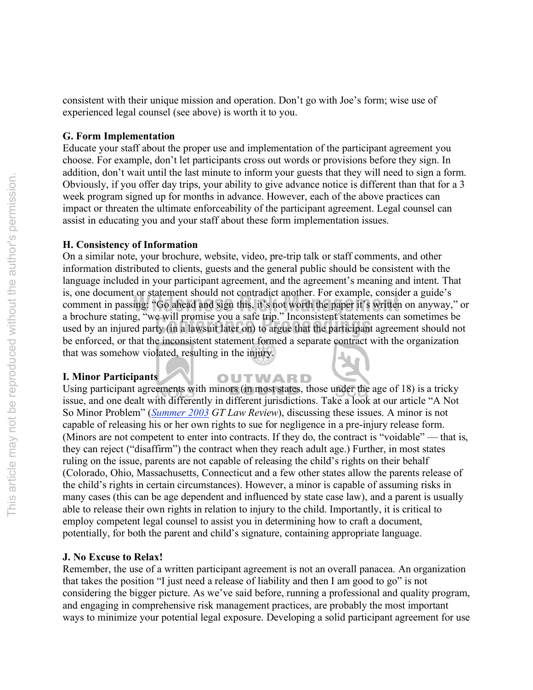consistent with their unique mission and operation. Don't go with Joe's form; wise use of experienced legal counsel (see above) is worth it to you.

## **G. Form Implementation**

Educate your staff about the proper use and implementation of the participant agreement you choose. For example, don't let participants cross out words or provisions before they sign. In addition, don't wait until the last minute to inform your guests that they will need to sign a form. Obviously, if you offer day trips, your ability to give advance notice is different than that for a 3 week program signed up for months in advance. However, each of the above practices can impact or threaten the ultimate enforceability of the participant agreement. Legal counsel can assist in educating you and your staff about these form implementation issues.

## **H. Consistency of Information**

a brochure stating, we will promise you a safe trip. Inconsistent statements can sometimes be<br>used by an injured party (in a lawsuit later on) to argue that the participant agreement should not s, one document of statement should not contradict ahother. For example, consider a gatacterization comment in passing: "Go ahead and sign this, it's not worth the paper it's written on anyway," or On a similar note, your brochure, website, video, pre-trip talk or staff comments, and other information distributed to clients, guests and the general public should be consistent with the language included in your participant agreement, and the agreement's meaning and intent. That is, one document or statement should not contradict another. For example, consider a guide's a brochure stating, "we will promise you a safe trip." Inconsistent statements can sometimes be be enforced, or that the inconsistent statement formed a separate contract with the organization that was somehow violated, resulting in the injury.

#### **I. Minor Participants**

OUTWARD Using participant agreements with minors (in most states, those under the age of 18) is a tricky issue, and one dealt with differently in different jurisdictions. Take a look at our article "A Not So Minor Problem" (*Summer 2003 GT Law Review*), discussing these issues. A minor is not capable of releasing his or her own rights to sue for negligence in a pre-injury release form. (Minors are not competent to enter into contracts. If they do, the contract is "voidable" — that is, they can reject ("disaffirm") the contract when they reach adult age.) Further, in most states ruling on the issue, parents are not capable of releasing the child's rights on their behalf (Colorado, Ohio, Massachusetts, Connecticut and a few other states allow the parents release of the child's rights in certain circumstances). However, a minor is capable of assuming risks in many cases (this can be age dependent and influenced by state case law), and a parent is usually able to release their own rights in relation to injury to the child. Importantly, it is critical to employ competent legal counsel to assist you in determining how to craft a document, potentially, for both the parent and child's signature, containing appropriate language.

#### **J. No Excuse to Relax!**

Remember, the use of a written participant agreement is not an overall panacea. An organization that takes the position "I just need a release of liability and then I am good to go" is not considering the bigger picture. As we've said before, running a professional and quality program, and engaging in comprehensive risk management practices, are probably the most important ways to minimize your potential legal exposure. Developing a solid participant agreement for use